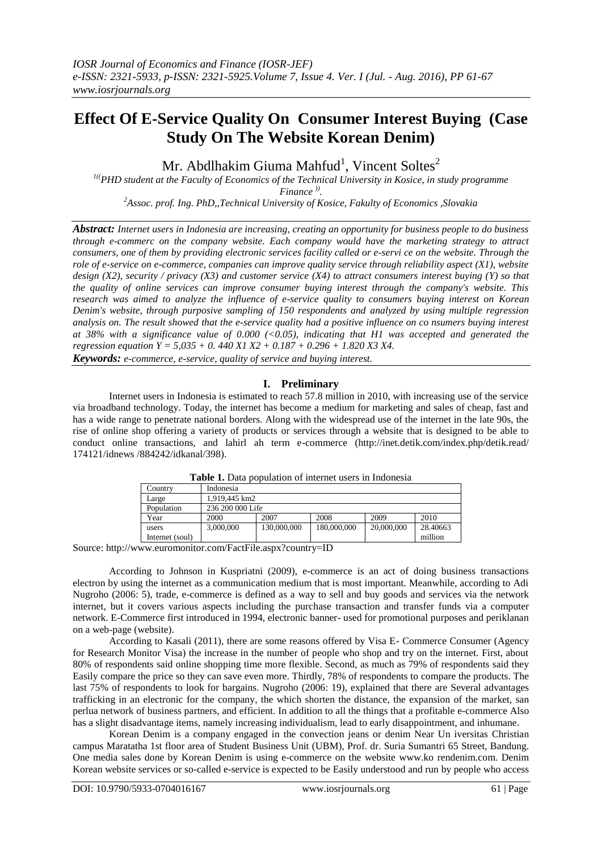# **Effect Of E-Service Quality On Consumer Interest Buying (Case Study On The Website Korean Denim)**

Mr. Abdlhakim Giuma Mahfud<sup>1</sup>, Vincent Soltes<sup>2</sup>

*1((PHD student at the Faculty of Economics of the Technical University in Kosice, in study programme Finance )) .*

*<sup>2</sup>Assoc. prof. Ing. PhD,,Technical University of Kosice, Fakulty of Economics ,Slovakia*

*Abstract: Internet users in Indonesia are increasing, creating an opportunity for business people to do business through e-commerc on the company website. Each company would have the marketing strategy to attract consumers, one of them by providing electronic services facility called or e-servi ce on the website. Through the role of e-service on e-commerce, companies can improve quality service through reliability aspect (X1), website design (X2), security / privacy (X3) and customer service (X4) to attract consumers interest buying (Y) so that the quality of online services can improve consumer buying interest through the company's website. This research was aimed to analyze the influence of e-service quality to consumers buying interest on Korean Denim's website, through purposive sampling of 150 respondents and analyzed by using multiple regression analysis on. The result showed that the e-service quality had a positive influence on co nsumers buying interest at 38% with a significance value of 0.000 (<0.05), indicating that H1 was accepted and generated the regression equation Y = 5,035 + 0. 440 X1 X2 + 0.187 + 0.296 + 1.820 X3 X4.* 

*Keywords: e-commerce, e-service, quality of service and buying interest.*

# **I. Preliminary**

Internet users in Indonesia is estimated to reach 57.8 million in 2010, with increasing use of the service via broadband technology. Today, the internet has become a medium for marketing and sales of cheap, fast and has a wide range to penetrate national borders. Along with the widespread use of the internet in the late 90s, the rise of online shop offering a variety of products or services through a website that is designed to be able to conduct online transactions, and lahirl ah term e-commerce [\(http://inet.detik.com/index.php/detik.read/](http://inet.detik.com/index.php/detik.read/) 174121/idnews /884242/idkanal/398).

|                 | Tuble 1. Dulu bobuluton of michiel aberd in muonchu |                  |             |            |          |  |  |
|-----------------|-----------------------------------------------------|------------------|-------------|------------|----------|--|--|
| Country         | Indonesia                                           |                  |             |            |          |  |  |
| Large           |                                                     | 1.919.445 km2    |             |            |          |  |  |
| Population      |                                                     | 236 200 000 Life |             |            |          |  |  |
| Year            | 2000                                                | 2007             | 2008        | 2009       | 2010     |  |  |
| users           | 3,000,000                                           | 130,000,000      | 180,000,000 | 20,000,000 | 28.40663 |  |  |
| Internet (soul) |                                                     |                  |             |            | million  |  |  |

**Table 1.** Data population of internet users in Indonesia

Source: http://www.euromonitor.com/FactFile.aspx?country=ID

According to Johnson in Kuspriatni (2009), e-commerce is an act of doing business transactions electron by using the internet as a communication medium that is most important. Meanwhile, according to Adi Nugroho (2006: 5), trade, e-commerce is defined as a way to sell and buy goods and services via the network internet, but it covers various aspects including the purchase transaction and transfer funds via a computer network. E-Commerce first introduced in 1994, electronic banner- used for promotional purposes and periklanan on a web-page (website).

According to Kasali (2011), there are some reasons offered by Visa E- Commerce Consumer (Agency for Research Monitor Visa) the increase in the number of people who shop and try on the internet. First, about 80% of respondents said online shopping time more flexible. Second, as much as 79% of respondents said they Easily compare the price so they can save even more. Thirdly, 78% of respondents to compare the products. The last 75% of respondents to look for bargains. Nugroho (2006: 19), explained that there are Several advantages trafficking in an electronic for the company, the which shorten the distance, the expansion of the market, san perlua network of business partners, and efficient. In addition to all the things that a profitable e-commerce Also has a slight disadvantage items, namely increasing individualism, lead to early disappointment, and inhumane.

Korean Denim is a company engaged in the convection jeans or denim Near Un iversitas Christian campus Maratatha 1st floor area of Student Business Unit (UBM), Prof. dr. Suria Sumantri 65 Street, Bandung. One media sales done by Korean Denim is using e-commerce on the website www.ko rendenim.com. Denim Korean website services or so-called e-service is expected to be Easily understood and run by people who access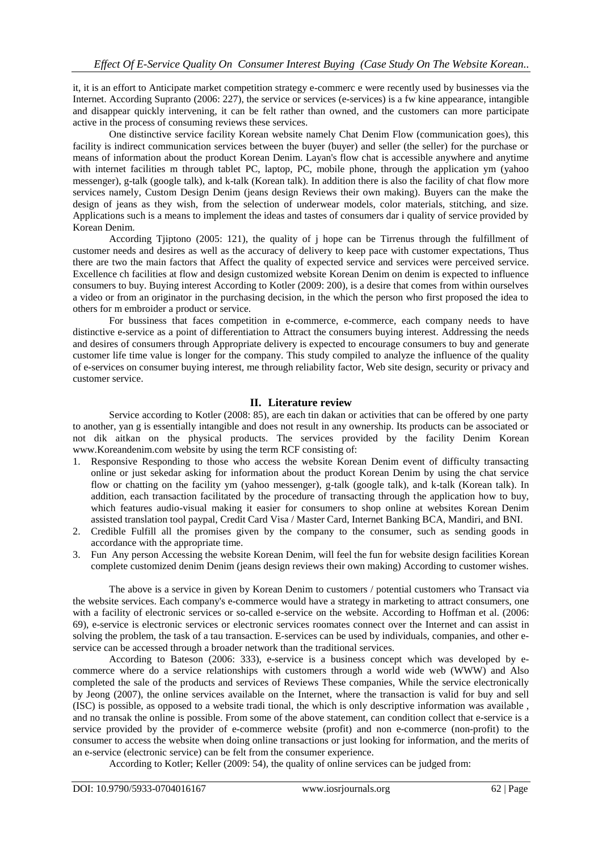it, it is an effort to Anticipate market competition strategy e-commerc e were recently used by businesses via the Internet. According Supranto (2006: 227), the service or services (e-services) is a fw kine appearance, intangible and disappear quickly intervening, it can be felt rather than owned, and the customers can more participate active in the process of consuming reviews these services.

One distinctive service facility Korean website namely Chat Denim Flow (communication goes), this facility is indirect communication services between the buyer (buyer) and seller (the seller) for the purchase or means of information about the product Korean Denim. Layan's flow chat is accessible anywhere and anytime with internet facilities m through tablet PC, laptop, PC, mobile phone, through the application ym (yahoo messenger), g-talk (google talk), and k-talk (Korean talk). In addition there is also the facility of chat flow more services namely, Custom Design Denim (jeans design Reviews their own making). Buyers can the make the design of jeans as they wish, from the selection of underwear models, color materials, stitching, and size. Applications such is a means to implement the ideas and tastes of consumers dar i quality of service provided by Korean Denim.

According Tjiptono (2005: 121), the quality of j hope can be Tirrenus through the fulfillment of customer needs and desires as well as the accuracy of delivery to keep pace with customer expectations, Thus there are two the main factors that Affect the quality of expected service and services were perceived service. Excellence ch facilities at flow and design customized website Korean Denim on denim is expected to influence consumers to buy. Buying interest According to Kotler (2009: 200), is a desire that comes from within ourselves a video or from an originator in the purchasing decision, in the which the person who first proposed the idea to others for m embroider a product or service.

For bussiness that faces competition in e-commerce, e-commerce, each company needs to have distinctive e-service as a point of differentiation to Attract the consumers buying interest. Addressing the needs and desires of consumers through Appropriate delivery is expected to encourage consumers to buy and generate customer life time value is longer for the company. This study compiled to analyze the influence of the quality of e-services on consumer buying interest, me through reliability factor, Web site design, security or privacy and customer service.

# **II. Literature review**

Service according to Kotler (2008: 85), are each tin dakan or activities that can be offered by one party to another, yan g is essentially intangible and does not result in any ownership. Its products can be associated or not dik aitkan on the physical products. The services provided by the facility Denim Korean www.Koreandenim.com website by using the term RCF consisting of:

- 1. Responsive Responding to those who access the website Korean Denim event of difficulty transacting online or just sekedar asking for information about the product Korean Denim by using the chat service flow or chatting on the facility ym (yahoo messenger), g-talk (google talk), and k-talk (Korean talk). In addition, each transaction facilitated by the procedure of transacting through the application how to buy, which features audio-visual making it easier for consumers to shop online at websites Korean Denim assisted translation tool paypal, Credit Card Visa / Master Card, Internet Banking BCA, Mandiri, and BNI.
- 2. Credible Fulfill all the promises given by the company to the consumer, such as sending goods in accordance with the appropriate time.
- 3. Fun Any person Accessing the website Korean Denim, will feel the fun for website design facilities Korean complete customized denim Denim (jeans design reviews their own making) According to customer wishes.

The above is a service in given by Korean Denim to customers / potential customers who Transact via the website services. Each company's e-commerce would have a strategy in marketing to attract consumers, one with a facility of electronic services or so-called e-service on the website. According to Hoffman et al. (2006: 69), e-service is electronic services or electronic services roomates connect over the Internet and can assist in solving the problem, the task of a tau transaction. E-services can be used by individuals, companies, and other eservice can be accessed through a broader network than the traditional services.

According to Bateson (2006: 333), e-service is a business concept which was developed by ecommerce where do a service relationships with customers through a world wide web (WWW) and Also completed the sale of the products and services of Reviews These companies, While the service electronically by Jeong (2007), the online services available on the Internet, where the transaction is valid for buy and sell (ISC) is possible, as opposed to a website tradi tional, the which is only descriptive information was available , and no transak the online is possible. From some of the above statement, can condition collect that e-service is a service provided by the provider of e-commerce website (profit) and non e-commerce (non-profit) to the consumer to access the website when doing online transactions or just looking for information, and the merits of an e-service (electronic service) can be felt from the consumer experience.

According to Kotler; Keller (2009: 54), the quality of online services can be judged from: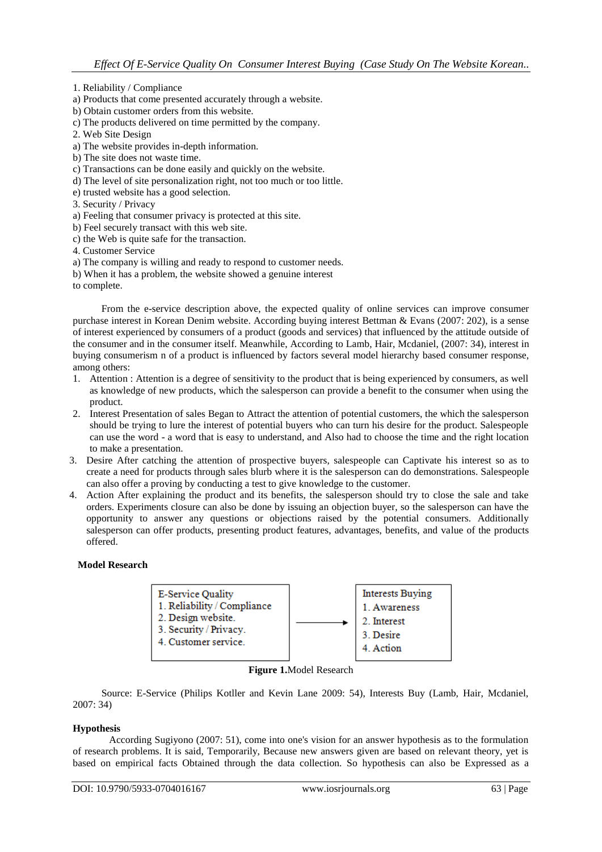1. Reliability / Compliance

a) Products that come presented accurately through a website.

b) Obtain customer orders from this website.

- c) The products delivered on time permitted by the company.
- 2. Web Site Design

a) The website provides in-depth information.

b) The site does not waste time.

- c) Transactions can be done easily and quickly on the website.
- d) The level of site personalization right, not too much or too little.

e) trusted website has a good selection.

3. Security / Privacy

a) Feeling that consumer privacy is protected at this site.

b) Feel securely transact with this web site.

c) the Web is quite safe for the transaction.

4. Customer Service

- a) The company is willing and ready to respond to customer needs.
- b) When it has a problem, the website showed a genuine interest

to complete.

From the e-service description above, the expected quality of online services can improve consumer purchase interest in Korean Denim website. According buying interest Bettman & Evans (2007: 202), is a sense of interest experienced by consumers of a product (goods and services) that influenced by the attitude outside of the consumer and in the consumer itself. Meanwhile, According to Lamb, Hair, Mcdaniel, (2007: 34), interest in buying consumerism n of a product is influenced by factors several model hierarchy based consumer response, among others:

- 1. Attention : Attention is a degree of sensitivity to the product that is being experienced by consumers, as well as knowledge of new products, which the salesperson can provide a benefit to the consumer when using the product.
- 2. Interest Presentation of sales Began to Attract the attention of potential customers, the which the salesperson should be trying to lure the interest of potential buyers who can turn his desire for the product. Salespeople can use the word - a word that is easy to understand, and Also had to choose the time and the right location to make a presentation.
- 3. Desire After catching the attention of prospective buyers, salespeople can Captivate his interest so as to create a need for products through sales blurb where it is the salesperson can do demonstrations. Salespeople can also offer a proving by conducting a test to give knowledge to the customer.
- 4. Action After explaining the product and its benefits, the salesperson should try to close the sale and take orders. Experiments closure can also be done by issuing an objection buyer, so the salesperson can have the opportunity to answer any questions or objections raised by the potential consumers. Additionally salesperson can offer products, presenting product features, advantages, benefits, and value of the products offered.

### **Model Research**

| <b>E-Service Quality</b><br>1. Reliability / Compliance<br>2. Design website.<br>3. Security / Privacy.<br>4. Customer service. |  | <b>Interests Buying</b><br>1. Awareness<br>2. Interest<br>3. Desire<br>4. Action |
|---------------------------------------------------------------------------------------------------------------------------------|--|----------------------------------------------------------------------------------|
|---------------------------------------------------------------------------------------------------------------------------------|--|----------------------------------------------------------------------------------|

**Figure 1.**Model Research

Source: E-Service (Philips Kotller and Kevin Lane 2009: 54), Interests Buy (Lamb, Hair, Mcdaniel, 2007: 34)

### **Hypothesis**

According Sugiyono (2007: 51), come into one's vision for an answer hypothesis as to the formulation of research problems. It is said, Temporarily, Because new answers given are based on relevant theory, yet is based on empirical facts Obtained through the data collection. So hypothesis can also be Expressed as a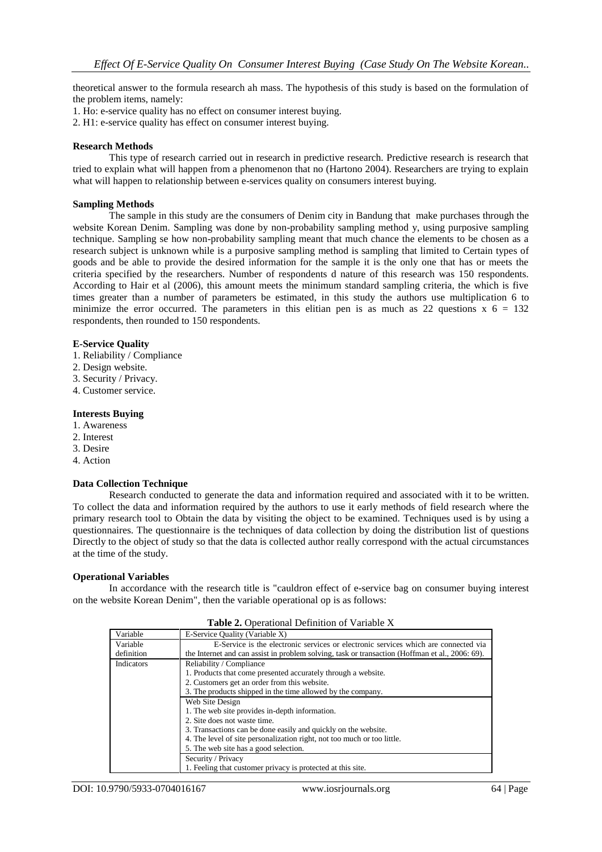theoretical answer to the formula research ah mass. The hypothesis of this study is based on the formulation of the problem items, namely:

- 1. Ho: e-service quality has no effect on consumer interest buying.
- 2. H1: e-service quality has effect on consumer interest buying.

### **Research Methods**

This type of research carried out in research in predictive research. Predictive research is research that tried to explain what will happen from a phenomenon that no (Hartono 2004). Researchers are trying to explain what will happen to relationship between e-services quality on consumers interest buying.

#### **Sampling Methods**

The sample in this study are the consumers of Denim city in Bandung that make purchases through the website Korean Denim. Sampling was done by non-probability sampling method y, using purposive sampling technique. Sampling se how non-probability sampling meant that much chance the elements to be chosen as a research subject is unknown while is a purposive sampling method is sampling that limited to Certain types of goods and be able to provide the desired information for the sample it is the only one that has or meets the criteria specified by the researchers. Number of respondents d nature of this research was 150 respondents. According to Hair et al (2006), this amount meets the minimum standard sampling criteria, the which is five times greater than a number of parameters be estimated, in this study the authors use multiplication 6 to minimize the error occurred. The parameters in this elitian pen is as much as 22 questions  $x$  6 = 132 respondents, then rounded to 150 respondents.

#### **E-Service Quality**

- 1. Reliability / Compliance
- 2. Design website.
- 3. Security / Privacy.
- 4. Customer service.

#### **Interests Buying**

- 1. Awareness
- 2. Interest
- 3. Desire
- 4. Action

### **Data Collection Technique**

Research conducted to generate the data and information required and associated with it to be written. To collect the data and information required by the authors to use it early methods of field research where the primary research tool to Obtain the data by visiting the object to be examined. Techniques used is by using a questionnaires. The questionnaire is the techniques of data collection by doing the distribution list of questions Directly to the object of study so that the data is collected author really correspond with the actual circumstances at the time of the study.

#### **Operational Variables**

In accordance with the research title is "cauldron effect of e-service bag on consumer buying interest on the website Korean Denim", then the variable operational op is as follows:

| Variable                                                                | E-Service Quality (Variable X)                                                                  |  |  |  |  |
|-------------------------------------------------------------------------|-------------------------------------------------------------------------------------------------|--|--|--|--|
| Variable                                                                | E-Service is the electronic services or electronic services which are connected via             |  |  |  |  |
| definition                                                              | the Internet and can assist in problem solving, task or transaction (Hoffman et al., 2006: 69). |  |  |  |  |
| <b>Indicators</b>                                                       | Reliability / Compliance                                                                        |  |  |  |  |
|                                                                         | 1. Products that come presented accurately through a website.                                   |  |  |  |  |
|                                                                         | 2. Customers get an order from this website.                                                    |  |  |  |  |
|                                                                         | 3. The products shipped in the time allowed by the company.                                     |  |  |  |  |
| Web Site Design                                                         |                                                                                                 |  |  |  |  |
| 1. The web site provides in-depth information.                          |                                                                                                 |  |  |  |  |
| 2. Site does not waste time.                                            |                                                                                                 |  |  |  |  |
|                                                                         | 3. Transactions can be done easily and quickly on the website.                                  |  |  |  |  |
| 4. The level of site personalization right, not too much or too little. |                                                                                                 |  |  |  |  |
|                                                                         | 5. The web site has a good selection.                                                           |  |  |  |  |
|                                                                         | Security / Privacy                                                                              |  |  |  |  |
|                                                                         | 1. Feeling that customer privacy is protected at this site.                                     |  |  |  |  |

**Table 2.** Operational Definition of Variable X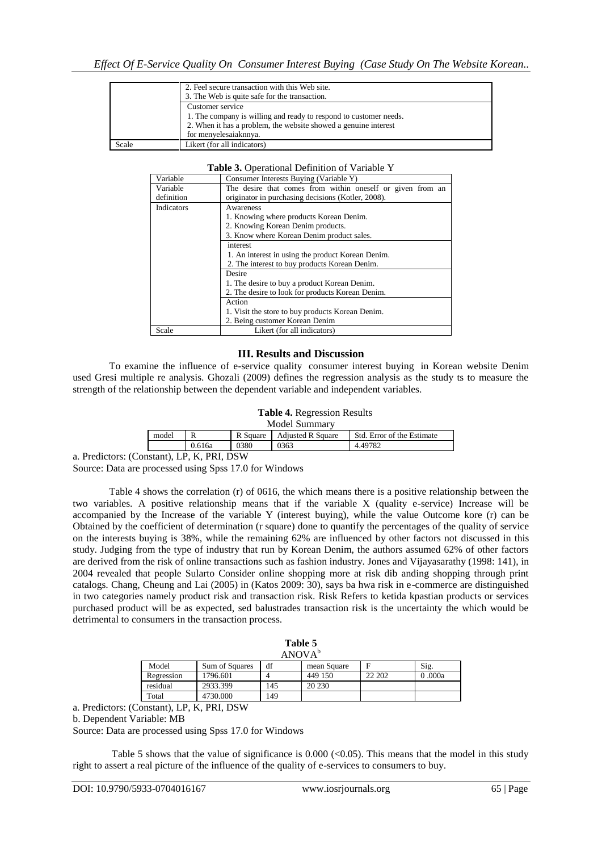|       | 2. Feel secure transaction with this Web site.<br>3. The Web is quite safe for the transaction.                                                                                   |
|-------|-----------------------------------------------------------------------------------------------------------------------------------------------------------------------------------|
|       | Customer service<br>1. The company is willing and ready to respond to customer needs.<br>2. When it has a problem, the website showed a genuine interest<br>for menyelesaiaknnya. |
| Scale | Likert (for all indicators)                                                                                                                                                       |

#### **Table 3.** Operational Definition of Variable Y

| Variable   | Consumer Interests Buying (Variable Y)                     |  |  |  |  |  |  |
|------------|------------------------------------------------------------|--|--|--|--|--|--|
| Variable   | The desire that comes from within oneself or given from an |  |  |  |  |  |  |
| definition | originator in purchasing decisions (Kotler, 2008).         |  |  |  |  |  |  |
| Indicators | Awareness                                                  |  |  |  |  |  |  |
|            | 1. Knowing where products Korean Denim.                    |  |  |  |  |  |  |
|            | 2. Knowing Korean Denim products.                          |  |  |  |  |  |  |
|            | 3. Know where Korean Denim product sales.                  |  |  |  |  |  |  |
|            | interest                                                   |  |  |  |  |  |  |
|            | 1. An interest in using the product Korean Denim.          |  |  |  |  |  |  |
|            | 2. The interest to buy products Korean Denim.              |  |  |  |  |  |  |
|            | Desire                                                     |  |  |  |  |  |  |
|            | 1. The desire to buy a product Korean Denim.               |  |  |  |  |  |  |
|            | 2. The desire to look for products Korean Denim.           |  |  |  |  |  |  |
|            | Action                                                     |  |  |  |  |  |  |
|            | 1. Visit the store to buy products Korean Denim.           |  |  |  |  |  |  |
|            | 2. Being customer Korean Denim                             |  |  |  |  |  |  |
| Scale      | Likert (for all indicators)                                |  |  |  |  |  |  |

### **III. Results and Discussion**

To examine the influence of e-service quality consumer interest buying in Korean website Denim used Gresi multiple re analysis. Ghozali (2009) defines the regression analysis as the study ts to measure the strength of the relationship between the dependent variable and independent variables.

#### **Table 4.** Regression Results

| Model Summary |        |          |                          |                            |  |  |
|---------------|--------|----------|--------------------------|----------------------------|--|--|
| model         |        | R Square | <b>Adjusted R Square</b> | Std. Error of the Estimate |  |  |
|               | 0.616a | 0380     | 0363                     | 4.49782                    |  |  |

a. Predictors: (Constant), LP, K, PRI, DSW

Source: Data are processed using Spss 17.0 for Windows

Table 4 shows the correlation (r) of 0616, the which means there is a positive relationship between the two variables. A positive relationship means that if the variable X (quality e-service) Increase will be accompanied by the Increase of the variable Y (interest buying), while the value Outcome kore (r) can be Obtained by the coefficient of determination (r square) done to quantify the percentages of the quality of service on the interests buying is 38%, while the remaining 62% are influenced by other factors not discussed in this study. Judging from the type of industry that run by Korean Denim, the authors assumed 62% of other factors are derived from the risk of online transactions such as fashion industry. Jones and Vijayasarathy (1998: 141), in 2004 revealed that people Sularto Consider online shopping more at risk dib anding shopping through print catalogs. Chang, Cheung and Lai (2005) in (Katos 2009: 30), says ba hwa risk in e-commerce are distinguished in two categories namely product risk and transaction risk. Risk Refers to ketida kpastian products or services purchased product will be as expected, sed balustrades transaction risk is the uncertainty the which would be detrimental to consumers in the transaction process.

| Table 5<br>ANOVA <sup>b</sup> |                |     |             |        |         |  |
|-------------------------------|----------------|-----|-------------|--------|---------|--|
| Model                         | Sum of Squares | df  | mean Square | F      | Sig.    |  |
| Regression                    | 1796.601       |     | 449 150     | 22 202 | 0 .000a |  |
| residual                      | 2933.399       | 145 | 20 230      |        |         |  |
| Total                         | 4730.000       | 149 |             |        |         |  |

a. Predictors: (Constant), LP, K, PRI, DSW

b. Dependent Variable: MB

Source: Data are processed using Spss 17.0 for Windows

Table 5 shows that the value of significance is  $0.000 \, \text{(<)} 0.05$ ). This means that the model in this study right to assert a real picture of the influence of the quality of e-services to consumers to buy.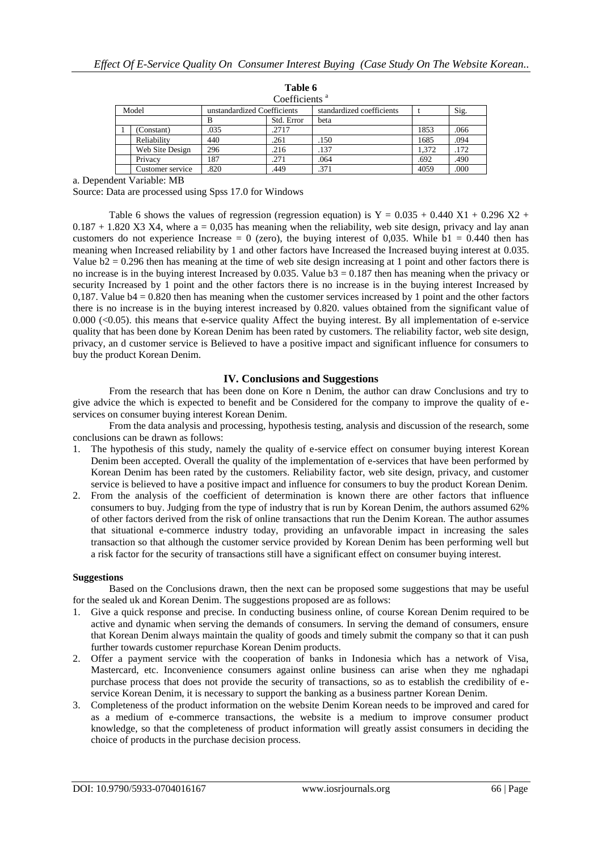|       | Coefficients <sup>a</sup> |                             |            |                           |       |      |  |  |
|-------|---------------------------|-----------------------------|------------|---------------------------|-------|------|--|--|
| Model |                           | unstandardized Coefficients |            | standardized coefficients |       | Sig. |  |  |
|       |                           | в                           | Std. Error | beta                      |       |      |  |  |
|       | (Constant)                | .035                        | .2717      |                           | 1853  | .066 |  |  |
|       | Reliability               | 440                         | .261       | .150                      | 1685  | .094 |  |  |
|       | Web Site Design           | 296                         | .216       | .137                      | 1.372 | .172 |  |  |
|       | Privacy                   | 187                         | .271       | .064                      | .692  | .490 |  |  |
|       | Customer service          | .820                        | .449       | .371                      | 4059  | .000 |  |  |

**Table 6**

a. Dependent Variable: MB

Source: Data are processed using Spss 17.0 for Windows

Table 6 shows the values of regression (regression equation) is  $Y = 0.035 + 0.440 X1 + 0.296 X2 +$  $0.187 + 1.820$  X3 X4, where a = 0,035 has meaning when the reliability, web site design, privacy and lay anan customers do not experience Increase = 0 (zero), the buying interest of 0,035. While  $b1 = 0.440$  then has meaning when Increased reliability by 1 and other factors have Increased the Increased buying interest at 0.035. Value  $b2 = 0.296$  then has meaning at the time of web site design increasing at 1 point and other factors there is no increase is in the buying interest Increased by 0.035. Value  $\overline{b}3 = 0.187$  then has meaning when the privacy or security Increased by 1 point and the other factors there is no increase is in the buying interest Increased by 0,187. Value b4 = 0.820 then has meaning when the customer services increased by 1 point and the other factors there is no increase is in the buying interest increased by 0.820. values obtained from the significant value of 0.000 (<0.05). this means that e-service quality Affect the buying interest. By all implementation of e-service quality that has been done by Korean Denim has been rated by customers. The reliability factor, web site design, privacy, an d customer service is Believed to have a positive impact and significant influence for consumers to buy the product Korean Denim.

## **IV. Conclusions and Suggestions**

From the research that has been done on Kore n Denim, the author can draw Conclusions and try to give advice the which is expected to benefit and be Considered for the company to improve the quality of eservices on consumer buying interest Korean Denim.

From the data analysis and processing, hypothesis testing, analysis and discussion of the research, some conclusions can be drawn as follows:

- 1. The hypothesis of this study, namely the quality of e-service effect on consumer buying interest Korean Denim been accepted. Overall the quality of the implementation of e-services that have been performed by Korean Denim has been rated by the customers. Reliability factor, web site design, privacy, and customer service is believed to have a positive impact and influence for consumers to buy the product Korean Denim.
- 2. From the analysis of the coefficient of determination is known there are other factors that influence consumers to buy. Judging from the type of industry that is run by Korean Denim, the authors assumed 62% of other factors derived from the risk of online transactions that run the Denim Korean. The author assumes that situational e-commerce industry today, providing an unfavorable impact in increasing the sales transaction so that although the customer service provided by Korean Denim has been performing well but a risk factor for the security of transactions still have a significant effect on consumer buying interest.

### **Suggestions**

Based on the Conclusions drawn, then the next can be proposed some suggestions that may be useful for the sealed uk and Korean Denim. The suggestions proposed are as follows:

- 1. Give a quick response and precise. In conducting business online, of course Korean Denim required to be active and dynamic when serving the demands of consumers. In serving the demand of consumers, ensure that Korean Denim always maintain the quality of goods and timely submit the company so that it can push further towards customer repurchase Korean Denim products.
- 2. Offer a payment service with the cooperation of banks in Indonesia which has a network of Visa, Mastercard, etc. Inconvenience consumers against online business can arise when they me nghadapi purchase process that does not provide the security of transactions, so as to establish the credibility of eservice Korean Denim, it is necessary to support the banking as a business partner Korean Denim.
- 3. Completeness of the product information on the website Denim Korean needs to be improved and cared for as a medium of e-commerce transactions, the website is a medium to improve consumer product knowledge, so that the completeness of product information will greatly assist consumers in deciding the choice of products in the purchase decision process.